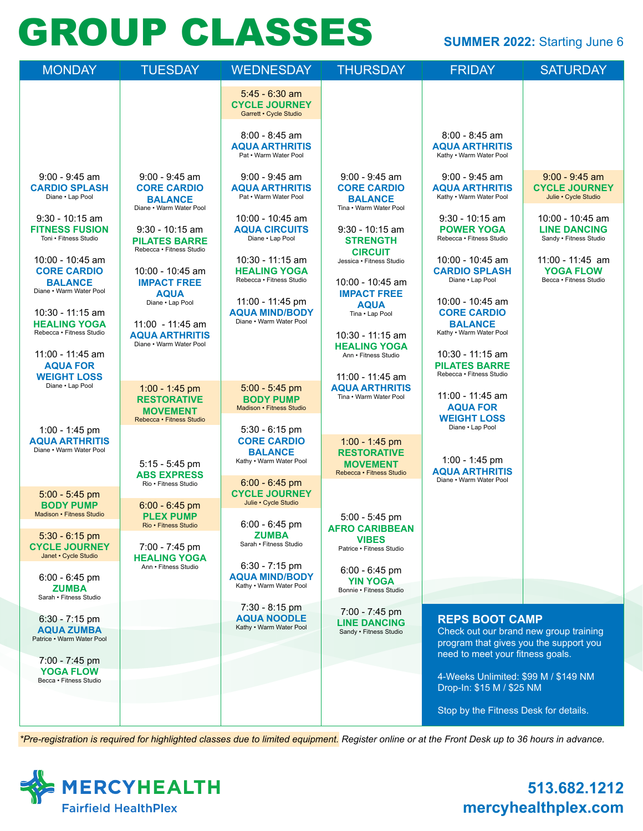# GROUP CLASSES SUMMER 2022: Starting June 6

| <b>MONDAY</b>                                                                       | <b>TUESDAY</b>                                                                             | <b>WEDNESDAY</b>                                                                    | <b>THURSDAY</b>                                                                     | <b>FRIDAY</b>                                                                                                                                 | <b>SATURDAY</b>                                                   |
|-------------------------------------------------------------------------------------|--------------------------------------------------------------------------------------------|-------------------------------------------------------------------------------------|-------------------------------------------------------------------------------------|-----------------------------------------------------------------------------------------------------------------------------------------------|-------------------------------------------------------------------|
|                                                                                     |                                                                                            | $5:45 - 6:30$ am<br><b>CYCLE JOURNEY</b><br>Garrett • Cycle Studio                  |                                                                                     |                                                                                                                                               |                                                                   |
|                                                                                     |                                                                                            | 8:00 - 8:45 am<br><b>AQUA ARTHRITIS</b><br>Pat . Warm Water Pool                    |                                                                                     | $8:00 - 8:45$ am<br><b>AQUA ARTHRITIS</b><br>Kathy . Warm Water Pool                                                                          |                                                                   |
| $9:00 - 9:45$ am<br><b>CARDIO SPLASH</b><br>Diane . Lap Pool                        | $9:00 - 9:45$ am<br><b>CORE CARDIO</b><br><b>BALANCE</b><br>Diane • Warm Water Pool        | $9:00 - 9:45$ am<br><b>AQUA ARTHRITIS</b><br>Pat . Warm Water Pool                  | $9:00 - 9:45$ am<br><b>CORE CARDIO</b><br><b>BALANCE</b><br>Tina • Warm Water Pool  | $9:00 - 9:45$ am<br><b>AQUA ARTHRITIS</b><br>Kathy . Warm Water Pool                                                                          | $9:00 - 9:45$ am<br><b>CYCLE JOURNEY</b><br>Julie • Cycle Studio  |
| $9:30 - 10:15$ am<br><b>FITNESS FUSION</b><br>Toni . Fitness Studio                 | $9:30 - 10:15$ am<br><b>PILATES BARRE</b><br>Rebecca • Fitness Studio                      | 10:00 - 10:45 am<br><b>AQUA CIRCUITS</b><br>Diane . Lap Pool                        | $9:30 - 10:15$ am<br><b>STRENGTH</b><br><b>CIRCUIT</b>                              | $9:30 - 10:15$ am<br><b>POWER YOGA</b><br>Rebecca • Fitness Studio                                                                            | 10:00 - 10:45 am<br><b>LINE DANCING</b><br>Sandy . Fitness Studio |
| 10:00 - 10:45 am<br><b>CORE CARDIO</b><br><b>BALANCE</b><br>Diane . Warm Water Pool | 10:00 - 10:45 am<br><b>IMPACT FREE</b><br><b>AQUA</b>                                      | 10:30 - 11:15 am<br><b>HEALING YOGA</b><br>Rebecca · Fitness Studio                 | Jessica • Fitness Studio<br>10:00 - 10:45 am<br><b>IMPACT FREE</b>                  | 10:00 - 10:45 am<br><b>CARDIO SPLASH</b><br>Diane . Lap Pool                                                                                  | 11:00 - 11:45 am<br><b>YOGA FLOW</b><br>Becca · Fitness Studio    |
| 10:30 - 11:15 am<br><b>HEALING YOGA</b><br>Rebecca · Fitness Studio                 | Diane . Lap Pool<br>$11:00 - 11:45$ am<br><b>AQUA ARTHRITIS</b><br>Diane • Warm Water Pool | 11:00 - 11:45 pm<br><b>AQUA MIND/BODY</b><br>Diane • Warm Water Pool                | <b>AQUA</b><br>Tina . Lap Pool<br>10:30 - 11:15 am<br><b>HEALING YOGA</b>           | 10:00 - 10:45 am<br><b>CORE CARDIO</b><br><b>BALANCE</b><br>Kathy . Warm Water Pool                                                           |                                                                   |
| 11:00 - 11:45 am<br><b>AQUA FOR</b><br><b>WEIGHT LOSS</b>                           |                                                                                            |                                                                                     | Ann • Fitness Studio<br>11:00 - 11:45 am                                            | 10:30 - 11:15 am<br><b>PILATES BARRE</b><br>Rebecca · Fitness Studio                                                                          |                                                                   |
| Diane . Lap Pool                                                                    | 1:00 - 1:45 pm<br><b>RESTORATIVE</b><br><b>MOVEMENT</b><br>Rebecca · Fitness Studio        | $5:00 - 5:45$ pm<br><b>BODY PUMP</b><br>Madison • Fitness Studio                    | <b>AQUA ARTHRITIS</b><br>Tina • Warm Water Pool                                     | 11:00 - 11:45 am<br><b>AQUA FOR</b><br><b>WEIGHT LOSS</b>                                                                                     |                                                                   |
| 1:00 - 1:45 pm<br><b>AQUA ARTHRITIS</b><br>Diane • Warm Water Pool                  | $5:15 - 5:45$ pm<br><b>ABS EXPRESS</b>                                                     | $5:30 - 6:15$ pm<br><b>CORE CARDIO</b><br><b>BALANCE</b><br>Kathy . Warm Water Pool | 1:00 - 1:45 pm<br><b>RESTORATIVE</b><br><b>MOVEMENT</b><br>Rebecca · Fitness Studio | Diane . Lap Pool<br>1:00 - 1:45 pm<br><b>AQUA ARTHRITIS</b>                                                                                   |                                                                   |
| 5:00 - 5:45 pm                                                                      | Rio · Fitness Studio                                                                       | $6:00 - 6:45$ pm<br><b>CYCLE JOURNEY</b>                                            |                                                                                     | Diane . Warm Water Pool                                                                                                                       |                                                                   |
| <b>BODY PUMP</b><br>Madison • Fitness Studio                                        | $6:00 - 6:45$ pm<br><b>PLEX PUMP</b><br>Rio • Fitness Studio                               | Julie • Cycle Studio<br>$6:00 - 6:45$ pm                                            | $5:00 - 5:45$ pm<br><b>AFRO CARIBBEAN</b>                                           |                                                                                                                                               |                                                                   |
| $5:30 - 6:15$ pm<br><b>CYCLE JOURNEY</b><br>Janet • Cycle Studio                    | 7:00 - 7:45 pm<br><b>HEALING YOGA</b>                                                      | <b>ZUMBA</b><br>Sarah • Fitness Studio                                              | <b>VIBES</b><br>Patrice . Fitness Studio                                            |                                                                                                                                               |                                                                   |
| $6:00 - 6:45$ pm<br><b>ZUMBA</b>                                                    | Ann • Fitness Studio                                                                       | 6:30 - 7:15 pm<br><b>AQUA MIND/BODY</b><br>Kathy . Warm Water Pool                  | 6:00 - 6:45 pm<br><b>YIN YOGA</b><br>Bonnie · Fitness Studio                        |                                                                                                                                               |                                                                   |
| Sarah • Fitness Studio                                                              |                                                                                            | 7:30 - 8:15 pm                                                                      | 7:00 - 7:45 pm                                                                      |                                                                                                                                               |                                                                   |
| 6:30 - 7:15 pm<br><b>AQUA ZUMBA</b><br>Patrice . Warm Water Pool                    |                                                                                            | <b>AQUA NOODLE</b><br>Kathy . Warm Water Pool                                       | <b>LINE DANCING</b><br>Sandy . Fitness Studio                                       | <b>REPS BOOT CAMP</b><br>Check out our brand new group training<br>program that gives you the support you<br>need to meet your fitness goals. |                                                                   |
| 7:00 - 7:45 pm<br><b>YOGA FLOW</b>                                                  |                                                                                            |                                                                                     |                                                                                     |                                                                                                                                               |                                                                   |
| Becca · Fitness Studio                                                              |                                                                                            |                                                                                     |                                                                                     | 4-Weeks Unlimited: \$99 M / \$149 NM<br>Drop-In: \$15 M / \$25 NM                                                                             |                                                                   |
|                                                                                     |                                                                                            |                                                                                     |                                                                                     | Stop by the Fitness Desk for details.                                                                                                         |                                                                   |

*\*Pre-registration is required for highlighted classes due to limited equipment. Register online or at the Front Desk up to 36 hours in advance.*



## **513.682.1212 mercyhealthplex.com**